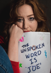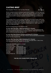# **CASTING BRIEF**

The Unspoken Word is 'Joe' by Zoey Dawson



We are currently looking for Brisbane based actors to partake in our first mainhouse production; *The Unspoken Word is 'Joe'* by Zoey Dawson directed by Ruby Sanders. We highly encourage artists from underrepresented backgrounds to apply for this position as we wish to represent Australia's diversity on the stage and behind the scenes.

The Unspoken Word is 'Joe' is a biting meta-satire of Australian theatre which Zoey would describe as dramatic and beautiful. And tender. And sad. And funny. And also really clever, and really honest, and really raw and emotional. It's about a break-up – but it's not just a breakup play. It's got lots of other layers to it. Yeah. Layers. It's, like... It's a really good play.

We are currently casting for the following roles:

### **An Actor Who Plays Man 1 (Male Identifying | 20 - 29 years)**

This actor has been hired to read for the role of Man 1. He is well acquainted with Zoey having dated her and of course breaking up with her. After their breakup, they left on civil terms but let's be real, that's a lie.

### **An Actor Who Plays Woman 2 (Female Identifying | 20 - 29 years)**

This actor reads for Woman 2 in the play. Woman 2 can be described as the electric fun girl and Zoey despises that.

### **An Actor Who Plays Man 2 (Male Identifying | 20 - 29 years)**

This actor is friends with both Zoey and The Actor who plays Man 1. Zoey is very very interested in this actor. Maybe a bit too much...

### **Production Schedule** *(subject to change)*

| <b>Rehearsal Venue:</b>   | <b>TBC</b>           |
|---------------------------|----------------------|
| <b>Performance Venue:</b> | <b>BackDock Arts</b> |
| Rehearsals begin:         | Mid-September 2021   |
| Intensives begin:         | 15th November 2021   |
| Bump-in/Tech:             | 22nd November 2021   |
| Previews:                 | 23rd November 2021   |
| Opening:                  | 24th November 2021   |
| Closing / Bump-out:       | 27th November 2021   |

### **THIS WILL BE A SHARE PROFIT PRODUCTION**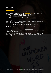## **Auditions**

First round auditions will take place via self-tape. You can submit your self-tape through our [submission portal.](https://forms.gle/KMsu6uaNSKNHk2N99)

*Please be advised that you will need to sign in a gmail account to upload your submission.*

We ask you to record a scene from the play [\(click here for scenes\)](https://drive.google.com/file/d/1nlIexfv8RCqe3RGOPXsXVR-Fwupvaa2s/view?usp=sharing) and a piece camera answering one of the following questions (two to three minutes):

- What is the best/worst date you've ever been on?
- What is your best/worst performance?
- Tell us a social issue you're really passionate about. No matter how big or how small.

We ask that you could please place a Title Card at the start of your tape. Your Title Card should have your name, email and the character you wish to audition for. Please also name your file with your name and your email.

Example: Egan Sun-Bin\_reactiontheorycollective@gmail.com

The deadline for first round submissions are due on 30th of July 2021.

Callbacks will occur in person in the week of 18th of August 2021 and will be with the director and producers. If you are unable to make those dates, don't fret, we will be able to work around your availability.

If there are any questions, require any accessibility needs or if you would like to read the script, please contact us at [reactiontheorycollective@gmail.com](mailto:reactiontheorycollective@gmail.com) with the subject line "Unspoken Word Is Joe - FAQ".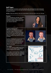### **Self-Tapes**

Filming self-tapes for theatre can be quite daunting. We understand this wasn't always the norm for theatre so here are some tips and tricks of what our preferences are for recording self-tapes for theatre.

**NOTES:** These are advisory, they are not prescriptive to how we want to see your self-tape.